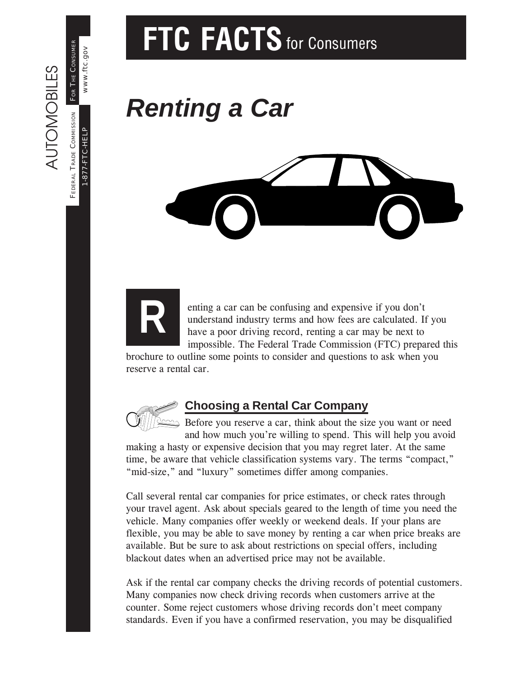# FTC FACTS for Consumers

# *Renting a Car*





AUTOMOBILES

**AUTOMOBILES** 

1-877-FTC-HELP

-877-FTC-HELP

www.ftc.gov

www.ftc.gov

FEDERAL TRADE COMMISSION FOR THE CONSUMER

FEDERAL TRADE COMMISSION FOR THE CONSUMER

enting a car can be confusing and expensive if you don't understand industry terms and how fees are calculated. If you have a poor driving record, renting a car may be next to impossible. The Federal Trade Commission (FTC) prepared this

brochure to outline some points to consider and questions to ask when you reserve a rental car.



### **Choosing a Rental Car Company**

 $\approx$  Before you reserve a car, think about the size you want or need and how much you're willing to spend. This will help you avoid

making a hasty or expensive decision that you may regret later. At the same time, be aware that vehicle classification systems vary. The terms "compact," "mid-size," and "luxury" sometimes differ among companies.

Call several rental car companies for price estimates, or check rates through your travel agent. Ask about specials geared to the length of time you need the vehicle. Many companies offer weekly or weekend deals. If your plans are flexible, you may be able to save money by renting a car when price breaks are available. But be sure to ask about restrictions on special offers, including blackout dates when an advertised price may not be available.

Ask if the rental car company checks the driving records of potential customers. Many companies now check driving records when customers arrive at the counter. Some reject customers whose driving records don't meet company standards. Even if you have a confirmed reservation, you may be disqualified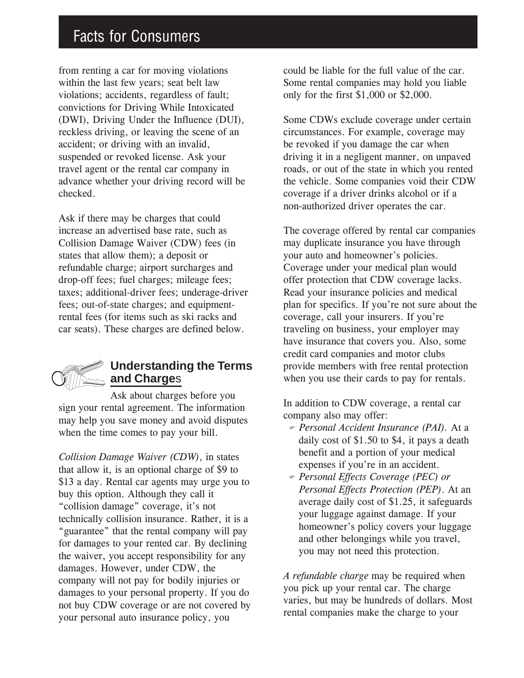## Facts for Consumers

from renting a car for moving violations within the last few years; seat belt law violations; accidents, regardless of fault; convictions for Driving While Intoxicated (DWI), Driving Under the Influence (DUI), reckless driving, or leaving the scene of an accident; or driving with an invalid, suspended or revoked license. Ask your travel agent or the rental car company in advance whether your driving record will be checked.

Ask if there may be charges that could increase an advertised base rate, such as Collision Damage Waiver (CDW) fees (in states that allow them); a deposit or refundable charge; airport surcharges and drop-off fees; fuel charges; mileage fees; taxes; additional-driver fees; underage-driver fees; out-of-state charges; and equipmentrental fees (for items such as ski racks and car seats). These charges are defined below.

### **Understanding the Terms and Charge**s

Ask about charges before you sign your rental agreement. The information may help you save money and avoid disputes when the time comes to pay your bill.

*Collision Damage Waiver (CDW)*, in states that allow it, is an optional charge of \$9 to \$13 a day. Rental car agents may urge you to buy this option. Although they call it "collision damage" coverage, it's not technically collision insurance. Rather, it is a "guarantee" that the rental company will pay for damages to your rented car. By declining the waiver, you accept responsibility for any damages. However, under CDW, the company will not pay for bodily injuries or damages to your personal property. If you do not buy CDW coverage or are not covered by your personal auto insurance policy, you

could be liable for the full value of the car. Some rental companies may hold you liable only for the first \$1,000 or \$2,000.

Some CDWs exclude coverage under certain circumstances. For example, coverage may be revoked if you damage the car when driving it in a negligent manner, on unpaved roads, or out of the state in which you rented the vehicle. Some companies void their CDW coverage if a driver drinks alcohol or if a non-authorized driver operates the car.

The coverage offered by rental car companies may duplicate insurance you have through your auto and homeowner's policies. Coverage under your medical plan would offer protection that CDW coverage lacks. Read your insurance policies and medical plan for specifics. If you're not sure about the coverage, call your insurers. If you're traveling on business, your employer may have insurance that covers you. Also, some credit card companies and motor clubs provide members with free rental protection when you use their cards to pay for rentals.

In addition to CDW coverage, a rental car company also may offer:

- ) *Personal Accident Insurance (PAI).* At a daily cost of \$1.50 to \$4, it pays a death benefit and a portion of your medical expenses if you're in an accident.
- ) *Personal Effects Coverage (PEC) or Personal Effects Protection (PEP)*. At an average daily cost of \$1.25, it safeguards your luggage against damage. If your homeowner's policy covers your luggage and other belongings while you travel, you may not need this protection.

*A refundable charge* may be required when you pick up your rental car. The charge varies, but may be hundreds of dollars. Most rental companies make the charge to your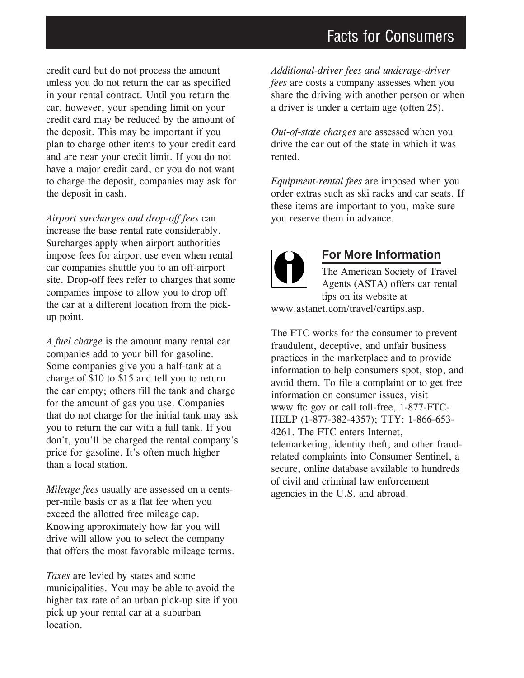credit card but do not process the amount unless you do not return the car as specified in your rental contract. Until you return the car, however, your spending limit on your credit card may be reduced by the amount of the deposit. This may be important if you plan to charge other items to your credit card and are near your credit limit. If you do not have a major credit card, or you do not want to charge the deposit, companies may ask for the deposit in cash.

*Airport surcharges and drop-off fees* can increase the base rental rate considerably. Surcharges apply when airport authorities impose fees for airport use even when rental car companies shuttle you to an off-airport site. Drop-off fees refer to charges that some companies impose to allow you to drop off the car at a different location from the pickup point.

*A fuel charge* is the amount many rental car companies add to your bill for gasoline. Some companies give you a half-tank at a charge of \$10 to \$15 and tell you to return the car empty; others fill the tank and charge for the amount of gas you use. Companies that do not charge for the initial tank may ask you to return the car with a full tank. If you don't, you'll be charged the rental company's price for gasoline. It's often much higher than a local station.

*Mileage fees* usually are assessed on a centsper-mile basis or as a flat fee when you exceed the allotted free mileage cap. Knowing approximately how far you will drive will allow you to select the company that offers the most favorable mileage terms.

*Taxes* are levied by states and some municipalities. You may be able to avoid the higher tax rate of an urban pick-up site if you pick up your rental car at a suburban location.

*Additional-driver fees and underage-driver fees* are costs a company assesses when you share the driving with another person or when a driver is under a certain age (often 25).

*Out-of-state charges* are assessed when you drive the car out of the state in which it was rented.

*Equipment-rental fees* are imposed when you order extras such as ski racks and car seats. If these items are important to you, make sure you reserve them in advance.



#### **For More Information**

The American Society of Travel Agents (ASTA) offers car rental tips on its website at www.astanet.com/travel/cartips.asp.

The FTC works for the consumer to prevent fraudulent, deceptive, and unfair business practices in the marketplace and to provide information to help consumers spot, stop, and avoid them. To file a complaint or to get free information on consumer issues, visit www.ftc.gov or call toll-free, 1-877-FTC-HELP (1-877-382-4357); TTY: 1-866-653- 4261. The FTC enters Internet, telemarketing, identity theft, and other fraudrelated complaints into Consumer Sentinel, a secure, online database available to hundreds of civil and criminal law enforcement agencies in the U.S. and abroad.